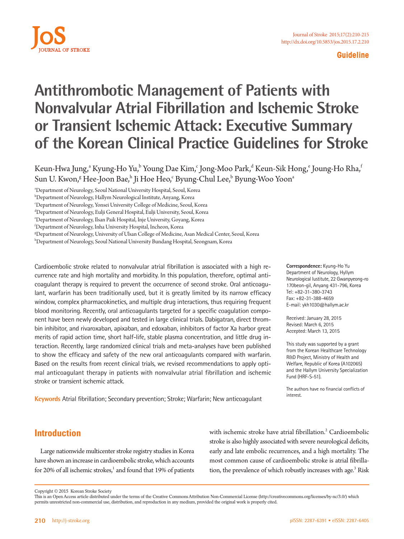

#### **Guideline**

# **Antithrombotic Management of Patients with Nonvalvular Atrial Fibrillation and Ischemic Stroke or Transient Ischemic Attack: Executive Summary of the Korean Clinical Practice Guidelines for Stroke**

Keun-Hwa Jung,<sup>a</sup> Kyung-Ho Yu,<sup>b</sup> Young Dae Kim,<sup>c</sup> Jong-Moo Park,<sup>d</sup> Keun-Sik Hong,<sup>e</sup> Joung-Ho Rha,<sup>i</sup> Sun U. Kwon,<sup>g</sup> Hee-Joon Bae,<sup>h</sup> Ji Hoe Heo,<sup>c</sup> Byung-Chul Lee,<sup>b</sup> Byung-Woo Yoon<sup>a</sup>

a Department of Neurology, Seoul National University Hospital, Seoul, Korea

f Department of Neurology, Inha University Hospital, Incheon, Korea

g Department of Neurology, University of Ulsan College of Medicine, Asan Medical Center, Seoul, Korea

h Department of Neurology, Seoul National University Bundang Hospital, Seongnam, Korea

Cardioembolic stroke related to nonvalvular atrial fibrillation is associated with a high recurrence rate and high mortality and morbidity. In this population, therefore, optimal anticoagulant therapy is required to prevent the occurrence of second stroke. Oral anticoagulant, warfarin has been traditionally used, but it is greatly limited by its narrow efficacy window, complex pharmacokinetics, and multiple drug interactions, thus requiring frequent blood monitoring. Recently, oral anticoagulants targeted for a specific coagulation component have been newly developed and tested in large clinical trials. Dabigatran, direct thrombin inhibitor, and rivaroxaban, apixaban, and edoxaban, inhibitors of factor Xa harbor great merits of rapid action time, short half-life, stable plasma concentration, and little drug interaction. Recently, large randomized clinical trials and meta-analyses have been published to show the efficacy and safety of the new oral anticoagulants compared with warfarin. Based on the results from recent clinical trials, we revised recommendations to apply optimal anticoagulant therapy in patients with nonvalvular atrial fibrillation and ischemic stroke or transient ischemic attack.

**Keywords** Atrial fibrillation; Secondary prevention; Stroke; Warfarin; New anticoagulant

**Correspondence:** Kyung-Ho Yu Department of Neurology, Hyllym Neurological Iustitute, 22 Gwanpyeong-ro 170beon-gil, Anyang 431-796, Korea Tel: +82-31-380-3743 Fax: +82-31-388-4659 E-mail: ykh1030@hallym.ac.kr

Received: January 28, 2015 Revised: March 6, 2015 Accepted: March 13, 2015

This study was supported by a grant from the Korean Healthcare Technology R&D Project, Ministry of Health and Welfare, Republic of Korea (A102065) and the Hallym University Specialization Fund (HRF-S-51).

The authors have no financial conflicts of interest.

# **Introduction**

Large nationwide multicenter stroke registry studies in Korea have shown an increase in cardioembolic stroke, which accounts for 20% of all ischemic strokes,<sup>1</sup> and found that 19% of patients with ischemic stroke have atrial fibrillation.<sup>2</sup> Cardioembolic stroke is also highly associated with severe neurological deficits, early and late embolic recurrences, and a high mortality. The most common cause of cardioembolic stroke is atrial fibrillation, the prevalence of which robustly increases with age.<sup>3</sup> Risk

b Department of Neurology, Hallym Neurological Institute, Anyang, Korea

c Department of Neurology, Yonsei University College of Medicine, Seoul, Korea

d Department of Neurology, Eulji General Hospital, Eulji University, Seoul, Korea

e Department of Neurology, Ilsan Paik Hospital, Inje University, Goyang, Korea

Copyright © 2015 Korean Stroke Society

This is an Open Access article distributed under the terms of the Creative Commons Attribution Non-Commercial License (http://creativecommons.org/licenses/by-nc/3.0/) which permits unrestricted non-commercial use, distribution, and reproduction in any medium, provided the original work is properly cited.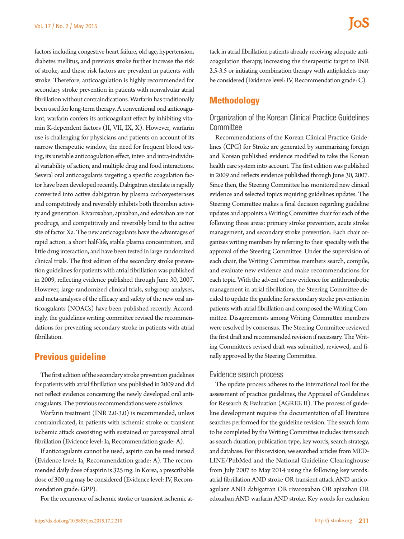factors including congestive heart failure, old age, hypertension, diabetes mellitus, and previous stroke further increase the risk of stroke, and these risk factors are prevalent in patients with stroke. Therefore, anticoagulation is highly recommended for secondary stroke prevention in patients with nonvalvular atrial fibrillation without contraindications. Warfarin has traditionally been used for long-term therapy. A conventional oral anticoagulant, warfarin confers its anticoagulant effect by inhibiting vitamin K-dependent factors (II, VII, IX, X). However, warfarin use is challenging for physicians and patients on account of its narrow therapeutic window, the need for frequent blood testing, its unstable anticoagulation effect, inter- and intra-individual variability of action, and multiple drug and food interactions. Several oral anticoagulants targeting a specific coagulation factor have been developed recently. Dabigatran etexilate is rapidly converted into active dabigatran by plasma carboxyesterases and competitively and reversibly inhibits both thrombin activity and generation. Rivaroxaban, apixaban, and edoxaban are not prodrugs, and competitively and reversibly bind to the active site of factor Xa. The new anticoagulants have the advantages of rapid action, a short half-life, stable plasma concentration, and little drug interaction, and have been tested in large randomized clinical trials. The first edition of the secondary stroke prevention guidelines for patients with atrial fibrillation was published in 2009, reflecting evidence published through June 30, 2007. However, large randomized clinical trials, subgroup analyses, and meta-analyses of the efficacy and safety of the new oral anticoagulants (NOACs) have been published recently. Accordingly, the guidelines writing committee revised the recommendations for preventing secondary stroke in patients with atrial fibrillation.

# **Previous guideline**

The first edition of the secondary stroke prevention guidelines for patients with atrial fibrillation was published in 2009 and did not reflect evidence concerning the newly developed oral anticoagulants. The previous recommendations were as follows:

Warfarin treatment (INR 2.0-3.0) is recommended, unless contraindicated, in patients with ischemic stroke or transient ischemic attack coexisting with sustained or paroxysmal atrial fibrillation (Evidence level: Ia, Recommendation grade: A).

If anticoagulants cannot be used, aspirin can be used instead (Evidence level: Ia, Recommendation grade: A). The recommended daily dose of aspirin is 325 mg. In Korea, a prescribable dose of 300 mg may be considered (Evidence level: IV, Recommendation grade: GPP).

For the recurrence of ischemic stroke or transient ischemic at-

tack in atrial fibrillation patients already receiving adequate anticoagulation therapy, increasing the therapeutic target to INR 2.5-3.5 or initiating combination therapy with antiplatelets may be considered (Evidence level: IV, Recommendation grade: C).

# **Methodology**

## Organization of the Korean Clinical Practice Guidelines **Committee**

Recommendations of the Korean Clinical Practice Guidelines (CPG) for Stroke are generated by summarizing foreign and Korean published evidence modified to take the Korean health care system into account. The first edition was published in 2009 and reflects evidence published through June 30, 2007. Since then, the Steering Committee has monitored new clinical evidence and selected topics requiring guidelines updates. The Steering Committee makes a final decision regarding guideline updates and appoints a Writing Committee chair for each of the following three areas: primary stroke prevention, acute stroke management, and secondary stroke prevention. Each chair organizes writing members by referring to their specialty with the approval of the Steering Committee. Under the supervision of each chair, the Writing Committee members search, compile, and evaluate new evidence and make recommendations for each topic. With the advent of new evidence for antithrombotic management in atrial fibrillation, the Steering Committee decided to update the guideline for secondary stroke prevention in patients with atrial fibrillation and composed the Writing Committee. Disagreements among Writing Committee members were resolved by consensus. The Steering Committee reviewed the first draft and recommended revision if necessary. The Writing Committee's revised draft was submitted, reviewed, and finally approved by the Steering Committee.

#### Evidence search process

The update process adheres to the international tool for the assessment of practice guidelines, the Appraisal of Guidelines for Research & Evaluation (AGREE II). The process of guideline development requires the documentation of all literature searches performed for the guideline revision. The search form to be completed by the Writing Committee includes items such as search duration, publication type, key words, search strategy, and database. For this revision, we searched articles from MED-LINE/PubMed and the National Guideline Clearinghouse from July 2007 to May 2014 using the following key words: atrial fibrillation AND stroke OR transient attack AND anticoagulant AND dabigatran OR rivaroxaban OR apixaban OR edoxaban AND warfarin AND stroke. Key words for exclusion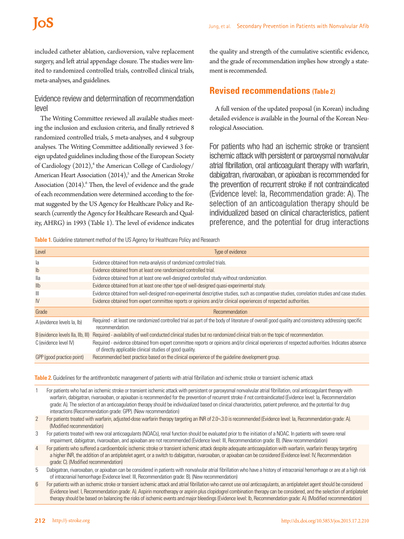included catheter ablation, cardioversion, valve replacement surgery, and left atrial appendage closure. The studies were limited to randomized controlled trials, controlled clinical trials, meta-analyses, and guidelines.

## Evidence review and determination of recommendation level

The Writing Committee reviewed all available studies meeting the inclusion and exclusion criteria, and finally retrieved 8 randomized controlled trials, 5 meta-analyses, and 4 subgroup analyses. The Writing Committee additionally reviewed 3 foreign updated guidelines including those of the European Society of Cardiology (2012),<sup>4</sup> the American College of Cardiology/ American Heart Association  $(2014)<sup>5</sup>$  and the American Stroke Association (2014).<sup>6</sup> Then, the level of evidence and the grade of each recommendation were determined according to the format suggested by the US Agency for Healthcare Policy and Research (currently the Agency for Healthcare Research and Quality, AHRG) in 1993 (Table 1). The level of evidence indicates

the quality and strength of the cumulative scientific evidence, and the grade of recommendation implies how strongly a statement is recommended.

## **Revised recommendations (Table 2)**

A full version of the updated proposal (in Korean) including detailed evidence is available in the Journal of the Korean Neurological Association.

For patients who had an ischemic stroke or transient ischemic attack with persistent or paroxysmal nonvalvular atrial fibrillation, oral anticoagulant therapy with warfarin, dabigatran, rivaroxaban, or apixaban is recommended for the prevention of recurrent stroke if not contraindicated (Evidence level: Ia, Recommendation grade: A). The selection of an anticoagulation therapy should be individualized based on clinical characteristics, patient preference, and the potential for drug interactions

**Table 1.** Guideline statement method of the US Agency for Healthcare Policy and Research

| Level                             | Type of evidence                                                                                                                                                                                           |
|-----------------------------------|------------------------------------------------------------------------------------------------------------------------------------------------------------------------------------------------------------|
| la                                | Evidence obtained from meta-analysis of randomized controlled trials.                                                                                                                                      |
| $\mathsf{lb}$                     | Evidence obtained from at least one randomized controlled trial.                                                                                                                                           |
| lla                               | Evidence obtained from at least one well-designed controlled study without randomization.                                                                                                                  |
| I <sub>l</sub>                    | Evidence obtained from at least one other type of well-designed quasi-experimental study.                                                                                                                  |
| Ш                                 | Evidence obtained from well-designed non-experimental descriptive studies, such as comparative studies, correlation studies and case studies.                                                              |
| $\mathsf{N}$                      | Evidence obtained from expert committee reports or opinions and/or clinical experiences of respected authorities.                                                                                          |
| Grade                             | Recommendation                                                                                                                                                                                             |
| A (evidence levels la, lb)        | Required - at least one randomized controlled trial as part of the body of literature of overall good quality and consistency addressing specific<br>recommendation.                                       |
| B (evidence levels IIa, IIb, III) | Required - availability of well conducted clinical studies but no randomized clinical trials on the topic of recommendation.                                                                               |
| C (evidence level IV)             | Required - evidence obtained from expert committee reports or opinions and/or clinical experiences of respected authorities. Indicates absence<br>of directly applicable clinical studies of good quality. |
| GPP (good practice point)         | Recommended best practice based on the clinical experience of the quideline development group.                                                                                                             |

**Table 2.** Guidelines for the antithrombotic management of patients with atrial fibrillation and ischemic stroke or transient ischemic attack

1 For patients who had an ischemic stroke or transient ischemic attack with persistent or paroxysmal nonvalvular atrial fibrillation, oral anticoagulant therapy with warfarin, dabigatran, rivaroxaban, or apixaban is recommended for the prevention of recurrent stroke if not contraindicated (Evidence level: Ia, Recommendation grade: A). The selection of an anticoagulation therapy should be individualized based on clinical characteristics, patient preference, and the potential for drug interactions (Recommendation grade: GPP). (New recommendation)

2 For patients treated with warfarin, adjusted-dose warfarin therapy targeting an INR of 2.0¬.3.0 is recommended (Evidence level: Ia, Recommendation grade: A). (Modified recommendation)

3 For patients treated with new oral anticoagulants (NOACs), renal function should be evaluated prior to the initiation of a NOAC. In patients with severe renal impairment, dabigatran, rivaroxaban, and apixaban are not recommended (Evidence level: III, Recommendation grade: B). (New recommendation)

- For patients who suffered a cardioembolic ischemic stroke or transient ischemic attack despite adequate anticoagulation with warfarin, warfarin therapy targeting a higher INR, the addition of an antiplatelet agent, or a switch to dabigatran, rivaroxaban, or apixaban can be considered (Evidence level: IV, Recommendation grade: C). (Modified recommendation)
- 5 Dabigatran, rivaroxaban, or apixaban can be considered in patients with nonvalvular atrial fibrillation who have a history of intracranial hemorrhage or are at a high risk of intracranial hemorrhage (Evidence level: III, Recommendation grade: B). (New recommendation)
- For patients with an ischemic stroke or transient ischemic attack and atrial fibrillation who cannot use oral anticoagulants, an antiplatelet agent should be considered (Evidence level: I, Recommendation grade: A). Aspirin monotherapy or aspirin plus clopidogrel combination therapy can be considered, and the selection of antiplatelet therapy should be based on balancing the risks of ischemic events and major bleedings (Evidence level: Ib, Recommendation grade: A). (Modified recommendation)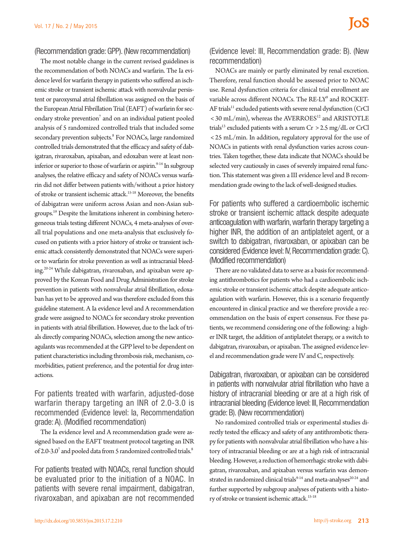#### (Recommendation grade: GPP). (New recommendation)

The most notable change in the current revised guidelines is the recommendation of both NOACs and warfarin. The Ia evidence level for warfarin therapy in patients who suffered an ischemic stroke or transient ischemic attack with nonvalvular persistent or paroxysmal atrial fibrillation was assigned on the basis of the European Atrial Fibrillation Trial (EAFT) of warfarin for secondary stroke prevention<sup>7</sup> and on an individual patient pooled analysis of 5 randomized controlled trials that included some secondary prevention subjects.<sup>8</sup> For NOACs, large randomized controlled trials demonstrated that the efficacy and safety of dabigatran, rivaroxaban, apixaban, and edoxaban were at least noninferior or superior to those of warfarin or aspirin. $9-14$  In subgroup analyses, the relative efficacy and safety of NOACs versus warfarin did not differ between patients with/without a prior history of stroke or transient ischemic attack.15-18 Moreover, the benefits of dabigatran were uniform across Asian and non-Asian subgroups.19 Despite the limitations inherent in combining heterogeneous trials testing different NOACs, 4 meta-analyses of overall trial populations and one meta-analysis that exclusively focused on patients with a prior history of stroke or transient ischemic attack consistently demonstrated that NOACs were superior to warfarin for stroke prevention as well as intracranial bleeding.20-24 While dabigatran, rivaroxaban, and apixaban were approved by the Korean Food and Drug Administration for stroke prevention in patients with nonvalvular atrial fibrillation, edoxaban has yet to be approved and was therefore excluded from this guideline statement. A Ia evidence level and A recommendation grade were assigned to NOACs for secondary stroke prevention in patients with atrial fibrillation. However, due to the lack of trials directly comparing NOACs, selection among the new anticoagulants was recommended at the GPP level to be dependent on patient characteristics including thrombosis risk, mechanism, comorbidities, patient preference, and the potential for drug interactions.

For patients treated with warfarin, adjusted-dose warfarin therapy targeting an INR of 2.0-3.0 is recommended (Evidence level: Ia, Recommendation grade: A). (Modified recommendation)

The Ia evidence level and A recommendation grade were assigned based on the EAFT treatment protocol targeting an INR of 2.0-3.0<sup>7</sup> and pooled data from 5 randomized controlled trials.<sup>8</sup>

For patients treated with NOACs, renal function should be evaluated prior to the initiation of a NOAC. In patients with severe renal impairment, dabigatran, rivaroxaban, and apixaban are not recommended

(Evidence level: III, Recommendation grade: B). (New recommendation)

NOACs are mainly or partly eliminated by renal excretion. Therefore, renal function should be assessed prior to NOAC use. Renal dysfunction criteria for clinical trial enrollment are variable across different NOACs. The RE-LY<sup>9</sup> and ROCKET-AF trials<sup>11</sup> excluded patients with severe renal dysfunction (CrCl  $<$  30 mL/min), whereas the AVERROES<sup>12</sup> and ARISTOTLE trials<sup>13</sup> excluded patients with a serum  $Cr > 2.5$  mg/dL or CrCl < 25 mL/min. In addition, regulatory approval for the use of NOACs in patients with renal dysfunction varies across countries. Taken together, these data indicate that NOACs should be selected very cautiously in cases of severely impaired renal function. This statement was given a III evidence level and B recommendation grade owing to the lack of well-designed studies.

For patients who suffered a cardioembolic ischemic stroke or transient ischemic attack despite adequate anticoagulation with warfarin, warfarin therapy targeting a higher INR, the addition of an antiplatelet agent, or a switch to dabigatran, rivaroxaban, or apixaban can be considered (Evidence level: IV, Recommendation grade: C). (Modified recommendation)

There are no validated data to serve as a basis for recommending antithrombotics for patients who had a cardioembolic ischemic stroke or transient ischemic attack despite adequate anticoagulation with warfarin. However, this is a scenario frequently encountered in clinical practice and we therefore provide a recommendation on the basis of expert consensus. For these patients, we recommend considering one of the following: a higher INR target, the addition of antiplatelet therapy, or a switch to dabigatran, rivaroxaban, or apixaban. The assigned evidence level and recommendation grade were IV and C, respectively.

Dabigatran, rivaroxaban, or apixaban can be considered in patients with nonvalvular atrial fibrillation who have a history of intracranial bleeding or are at a high risk of intracranial bleeding (Evidence level: III, Recommendation grade: B). (New recommendation)

No randomized controlled trials or experimental studies directly tested the efficacy and safety of any antithrombotic therapy for patients with nonvalvular atrial fibrillation who have a history of intracranial bleeding or are at a high risk of intracranial bleeding. However, a reduction of hemorrhagic stroke with dabigatran, rivaroxaban, and apixaban versus warfarin was demonstrated in randomized clinical trials $9-14$  and meta-analyses $20-24$  and further supported by subgroup analyses of patients with a history of stroke or transient ischemic attack.<sup>15-18</sup>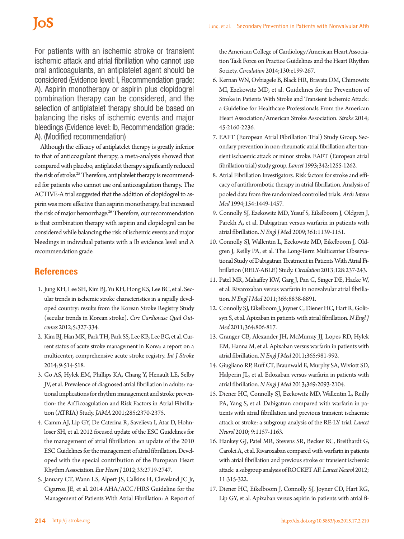For patients with an ischemic stroke or transient ischemic attack and atrial fibrillation who cannot use oral anticoagulants, an antiplatelet agent should be considered (Evidence level: I, Recommendation grade: A). Aspirin monotherapy or aspirin plus clopidogrel combination therapy can be considered, and the selection of antiplatelet therapy should be based on balancing the risks of ischemic events and major bleedings (Evidence level: Ib, Recommendation grade: A). (Modified recommendation)

Although the efficacy of antiplatelet therapy is greatly inferior to that of anticoagulant therapy, a meta-analysis showed that compared with placebo, antiplatelet therapy significantly reduced the risk of stroke.<sup>25</sup> Therefore, antiplatelet therapy is recommended for patients who cannot use oral anticoagulation therapy. The ACTIVE-A trial suggested that the addition of clopidogrel to aspirin was more effective than aspirin monotherapy, but increased the risk of major hemorrhage.<sup>26</sup> Therefore, our recommendation is that combination therapy with aspirin and clopidogrel can be considered while balancing the risk of ischemic events and major bleedings in individual patients with a Ib evidence level and A recommendation grade.

## **References**

- 1. Jung KH, Lee SH, Kim BJ, Yu KH, Hong KS, Lee BC, et al. Secular trends in ischemic stroke characteristics in a rapidly developed country: results from the Korean Stroke Registry Study (secular trends in Korean stroke). *Circ Cardiovasc Qual Outcomes* 2012;5:327-334.
- 2. Kim BJ, Han MK, Park TH, Park SS, Lee KB, Lee BC, et al. Current status of acute stroke management in Korea: a report on a multicenter, comprehensive acute stroke registry. *Int J Stroke*  2014; 9:514-518.
- 3. Go AS, Hylek EM, Phillips KA, Chang Y, Henault LE, Selby JV, et al. Prevalence of diagnosed atrial fibrillation in adults: national implications for rhythm management and stroke prevention: the AnTicoagulation and Risk Factors in Atrial Fibrillation (ATRIA) Study. *JAMA* 2001;285:2370-2375.
- 4. Camm AJ, Lip GY, De Caterina R, Savelieva I, Atar D, Hohnloser SH, et al. 2012 focused update of the ESC Guidelines for the management of atrial fibrillation: an update of the 2010 ESC Guidelines for the management of atrial fibrillation. Developed with the special contribution of the European Heart Rhythm Association. *Eur Heart J* 2012;33:2719-2747.
- 5. January CT, Wann LS, Alpert JS, Calkins H, Cleveland JC Jr, Cigarroa JE, et al. 2014 AHA/ACC/HRS Guideline for the Management of Patients With Atrial Fibrillation: A Report of

the American College of Cardiology/American Heart Association Task Force on Practice Guidelines and the Heart Rhythm Society. *Circulation* 2014;130:e199-267.

- 6. Kernan WN, Ovbiagele B, Black HR, Bravata DM, Chimowitz MI, Ezekowitz MD, et al. Guidelines for the Prevention of Stroke in Patients With Stroke and Transient Ischemic Attack: a Guideline for Healthcare Professionals From the American Heart Association/American Stroke Association. *Stroke* 2014; 45:2160-2236.
- 7. EAFT (European Atrial Fibrillation Trial) Study Group. Secondary prevention in non-rheumatic atrial fibrillation after transient ischaemic attack or minor stroke. EAFT (European atrial fibrillation trial) study group. *Lancet* 1993;342:1255-1262.
- 8. Atrial Fibrillation Investigators. Risk factors for stroke and efficacy of antithrombotic therapy in atrial fibrillation. Analysis of pooled data from five randomized controlled trials. *Arch Intern Med* 1994;154:1449-1457.
- 9. Connolly SJ, Ezekowitz MD, Yusuf S, Eikelboom J, Oldgren J, Parekh A, et al. Dabigatran versus warfarin in patients with atrial fibrillation. *N Engl J Me*d 2009;361:1139-1151.
- 10. Connolly SJ, Wallentin L, Ezekowitz MD, Eikelboom J, Oldgren J, Reilly PA, et al. The Long-Term Multicenter Observational Study of Dabigatran Treatment in Patients With Atrial Fibrillation (RELY-ABLE) Study. *Circulation* 2013;128:237-243.
- 11. Patel MR, Mahaffey KW, Garg J, Pan G, Singer DE, Hacke W, et al. Rivaroxaban versus warfarin in nonvalvular atrial fibrillation. *N Engl J Med* 2011;365:8838-8891.
- 12. Connolly SJ, Eikelboom J, Joyner C, Diener HC, Hart R, Golitsyn S, et al. Apixaban in patients with atrial fibrillation. *N Engl J Med* 2011;364:806-817.
- 13. Granger CB, Alexander JH, McMurray JJ, Lopes RD, Hylek EM, Hanna M, et al. Apixaban versus warfarin in patients with atrial fibrillation. *N Engl J Med* 2011;365:981-992.
- 14. Giugliano RP, Ruff CT, Braunwald E, Murphy SA, Wiviott SD, Halperin JL, et al. Edoxaban versus warfarin in patients with atrial fibrillation. *N Engl J Med* 2013;369:2093-2104.
- 15. Diener HC, Connolly SJ, Ezekowitz MD, Wallentin L, Reilly PA, Yang S, et al. Dabigatran compared with warfarin in patients with atrial fibrillation and previous transient ischaemic attack or stroke: a subgroup analysis of the RE-LY trial. *Lancet Neurol* 2010; 9:1157-1163.
- 16. Hankey GJ, Patel MR, Stevens SR, Becker RC, Breithardt G, Carolei A, et al. Rivaroxaban compared with warfarin in patients with atrial fibrillation and previous stroke or transient ischemic attack: a subgroup analysis of ROCKET AF. *Lancet Neurol* 2012; 11:315-322.
- 17. Diener HC, Eikelboom J, Connolly SJ, Joyner CD, Hart RG, Lip GY, et al. Apixaban versus aspirin in patients with atrial fi-